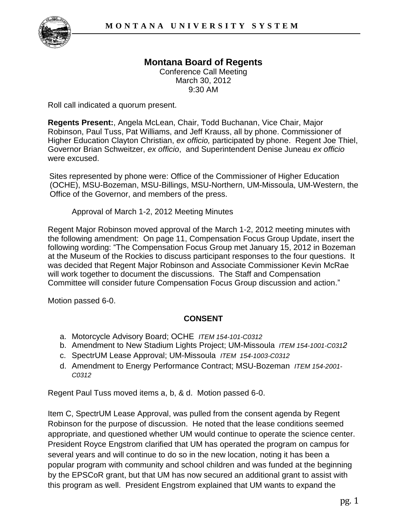# **Montana Board of Regents**

Conference Call Meeting March 30, 2012 9:30 AM

Roll call indicated a quorum present.

**Regents Present:**, Angela McLean, Chair, Todd Buchanan, Vice Chair, Major Robinson, Paul Tuss, Pat Williams, and Jeff Krauss, all by phone. Commissioner of Higher Education Clayton Christian, *ex officio,* participated by phone. Regent Joe Thiel, Governor Brian Schweitzer, *ex officio*, and Superintendent Denise Juneau *ex officio* were excused.

Sites represented by phone were: Office of the Commissioner of Higher Education (OCHE), MSU-Bozeman, MSU-Billings, MSU-Northern, UM-Missoula, UM-Western, the Office of the Governor, and members of the press.

Approval of March 1-2, 2012 Meeting Minutes

Regent Major Robinson moved approval of the March 1-2, 2012 meeting minutes with the following amendment: On page 11, Compensation Focus Group Update, insert the following wording: "The Compensation Focus Group met January 15, 2012 in Bozeman at the Museum of the Rockies to discuss participant responses to the four questions. It was decided that Regent Major Robinson and Associate Commissioner Kevin McRae will work together to document the discussions. The Staff and Compensation Committee will consider future Compensation Focus Group discussion and action."

Motion passed 6-0.

### **CONSENT**

- a. Motorcycle Advisory Board; OCHE *ITEM 154-101-C0312*
- b. Amendment to New Stadium Lights Project; UM-Missoula *ITEM 154-1001-C0312*
- c. SpectrUM Lease Approval; UM-Missoula *ITEM 154-1003-C0312*
- d. Amendment to Energy Performance Contract; MSU-Bozeman *ITEM 154-2001- C0312*

Regent Paul Tuss moved items a, b, & d. Motion passed 6-0.

Item C, SpectrUM Lease Approval, was pulled from the consent agenda by Regent Robinson for the purpose of discussion. He noted that the lease conditions seemed appropriate, and questioned whether UM would continue to operate the science center. President Royce Engstrom clarified that UM has operated the program on campus for several years and will continue to do so in the new location, noting it has been a popular program with community and school children and was funded at the beginning by the EPSCoR grant, but that UM has now secured an additional grant to assist with this program as well. President Engstrom explained that UM wants to expand the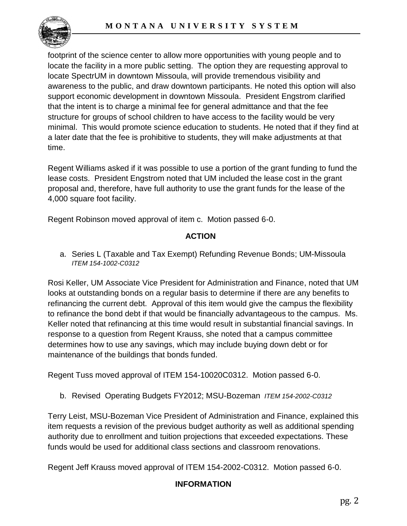

footprint of the science center to allow more opportunities with young people and to locate the facility in a more public setting. The option they are requesting approval to locate SpectrUM in downtown Missoula, will provide tremendous visibility and awareness to the public, and draw downtown participants. He noted this option will also support economic development in downtown Missoula. President Engstrom clarified that the intent is to charge a minimal fee for general admittance and that the fee structure for groups of school children to have access to the facility would be very minimal. This would promote science education to students. He noted that if they find at a later date that the fee is prohibitive to students, they will make adjustments at that time.

Regent Williams asked if it was possible to use a portion of the grant funding to fund the lease costs. President Engstrom noted that UM included the lease cost in the grant proposal and, therefore, have full authority to use the grant funds for the lease of the 4,000 square foot facility.

Regent Robinson moved approval of item c. Motion passed 6-0.

## **ACTION**

a. Series L (Taxable and Tax Exempt) Refunding Revenue Bonds; UM-Missoula *ITEM 154-1002-C0312*

Rosi Keller, UM Associate Vice President for Administration and Finance, noted that UM looks at outstanding bonds on a regular basis to determine if there are any benefits to refinancing the current debt. Approval of this item would give the campus the flexibility to refinance the bond debt if that would be financially advantageous to the campus. Ms. Keller noted that refinancing at this time would result in substantial financial savings. In response to a question from Regent Krauss, she noted that a campus committee determines how to use any savings, which may include buying down debt or for maintenance of the buildings that bonds funded.

Regent Tuss moved approval of ITEM 154-10020C0312. Motion passed 6-0.

b. Revised Operating Budgets FY2012; MSU-Bozeman *ITEM 154-2002-C0312*

Terry Leist, MSU-Bozeman Vice President of Administration and Finance, explained this item requests a revision of the previous budget authority as well as additional spending authority due to enrollment and tuition projections that exceeded expectations. These funds would be used for additional class sections and classroom renovations.

Regent Jeff Krauss moved approval of ITEM 154-2002-C0312. Motion passed 6-0.

## **INFORMATION**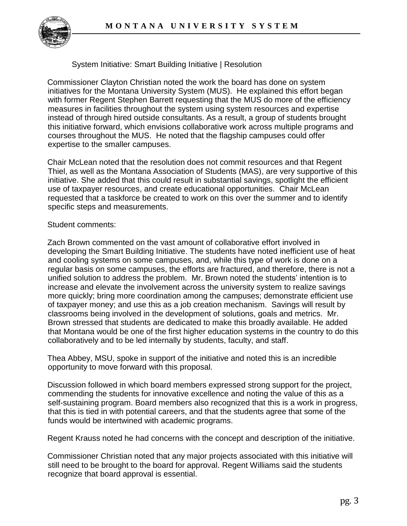

System Initiative: Smart Building Initiative | Resolution

Commissioner Clayton Christian noted the work the board has done on system initiatives for the Montana University System (MUS). He explained this effort began with former Regent Stephen Barrett requesting that the MUS do more of the efficiency measures in facilities throughout the system using system resources and expertise instead of through hired outside consultants. As a result, a group of students brought this initiative forward, which envisions collaborative work across multiple programs and courses throughout the MUS. He noted that the flagship campuses could offer expertise to the smaller campuses.

Chair McLean noted that the resolution does not commit resources and that Regent Thiel, as well as the Montana Association of Students (MAS), are very supportive of this initiative. She added that this could result in substantial savings, spotlight the efficient use of taxpayer resources, and create educational opportunities. Chair McLean requested that a taskforce be created to work on this over the summer and to identify specific steps and measurements.

#### Student comments:

Zach Brown commented on the vast amount of collaborative effort involved in developing the Smart Building Initiative. The students have noted inefficient use of heat and cooling systems on some campuses, and, while this type of work is done on a regular basis on some campuses, the efforts are fractured, and therefore, there is not a unified solution to address the problem. Mr. Brown noted the students' intention is to increase and elevate the involvement across the university system to realize savings more quickly; bring more coordination among the campuses; demonstrate efficient use of taxpayer money; and use this as a job creation mechanism. Savings will result by classrooms being involved in the development of solutions, goals and metrics. Mr. Brown stressed that students are dedicated to make this broadly available. He added that Montana would be one of the first higher education systems in the country to do this collaboratively and to be led internally by students, faculty, and staff.

Thea Abbey, MSU, spoke in support of the initiative and noted this is an incredible opportunity to move forward with this proposal.

Discussion followed in which board members expressed strong support for the project, commending the students for innovative excellence and noting the value of this as a self-sustaining program. Board members also recognized that this is a work in progress, that this is tied in with potential careers, and that the students agree that some of the funds would be intertwined with academic programs.

Regent Krauss noted he had concerns with the concept and description of the initiative.

Commissioner Christian noted that any major projects associated with this initiative will still need to be brought to the board for approval. Regent Williams said the students recognize that board approval is essential.